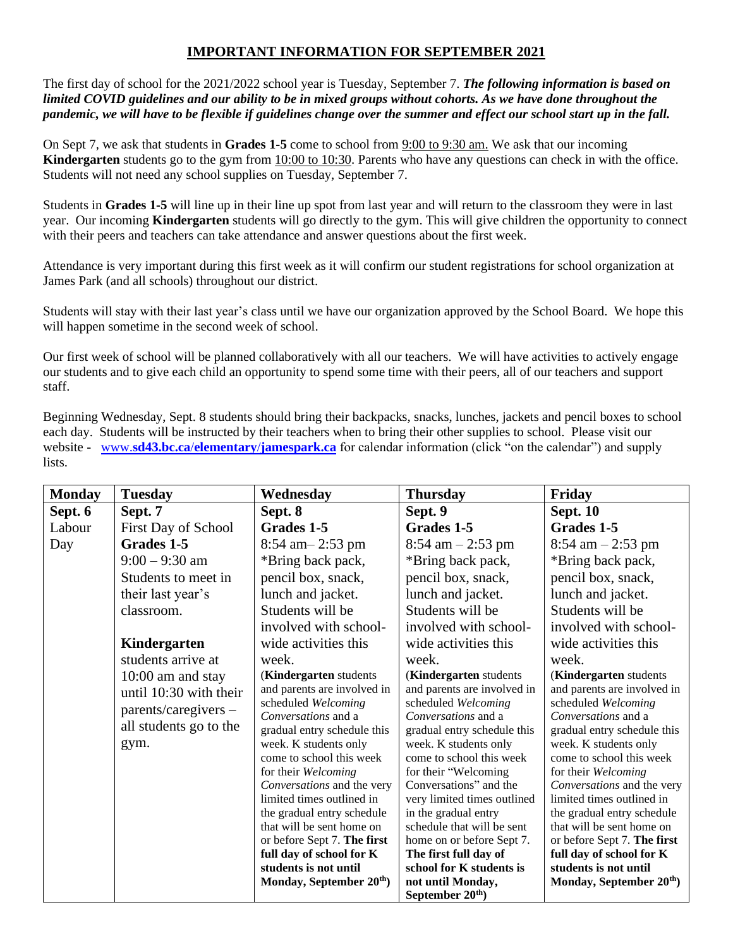## **IMPORTANT INFORMATION FOR SEPTEMBER 2021**

The first day of school for the 2021/2022 school year is Tuesday, September 7. *The following information is based on limited COVID guidelines and our ability to be in mixed groups without cohorts. As we have done throughout the pandemic, we will have to be flexible if guidelines change over the summer and effect our school start up in the fall.*

On Sept 7, we ask that students in **Grades 1-5** come to school from 9:00 to 9:30 am. We ask that our incoming **Kindergarten** students go to the gym from 10:00 to 10:30. Parents who have any questions can check in with the office. Students will not need any school supplies on Tuesday, September 7.

Students in **Grades 1-5** will line up in their line up spot from last year and will return to the classroom they were in last year. Our incoming **Kindergarten** students will go directly to the gym. This will give children the opportunity to connect with their peers and teachers can take attendance and answer questions about the first week.

Attendance is very important during this first week as it will confirm our student registrations for school organization at James Park (and all schools) throughout our district.

Students will stay with their last year's class until we have our organization approved by the School Board. We hope this will happen sometime in the second week of school.

Our first week of school will be planned collaboratively with all our teachers. We will have activities to actively engage our students and to give each child an opportunity to spend some time with their peers, all of our teachers and support staff.

Beginning Wednesday, Sept. 8 students should bring their backpacks, snacks, lunches, jackets and pencil boxes to school each day. Students will be instructed by their teachers when to bring their other supplies to school. Please visit our website - www.**sd43.bc.ca**/**elementary**/**[jamespark.ca](http://www.sd43.bc.ca/elementary/jamespark.ca)** for calendar information (click "on the calendar") and supply lists.

| <b>Monday</b> | <b>Tuesday</b>                                                                                          | Wednesday                                                                                                                                                                                                                                                                                                                                                                                                                                                        | <b>Thursday</b>                                                                                                                                                                                                                                                                                                                                                                                                                                                       | Friday                                                                                                                                                                                                                                                                                                                                                                                                                                                           |
|---------------|---------------------------------------------------------------------------------------------------------|------------------------------------------------------------------------------------------------------------------------------------------------------------------------------------------------------------------------------------------------------------------------------------------------------------------------------------------------------------------------------------------------------------------------------------------------------------------|-----------------------------------------------------------------------------------------------------------------------------------------------------------------------------------------------------------------------------------------------------------------------------------------------------------------------------------------------------------------------------------------------------------------------------------------------------------------------|------------------------------------------------------------------------------------------------------------------------------------------------------------------------------------------------------------------------------------------------------------------------------------------------------------------------------------------------------------------------------------------------------------------------------------------------------------------|
| Sept. 6       | Sept. 7                                                                                                 | Sept. 8                                                                                                                                                                                                                                                                                                                                                                                                                                                          | Sept. 9                                                                                                                                                                                                                                                                                                                                                                                                                                                               | <b>Sept. 10</b>                                                                                                                                                                                                                                                                                                                                                                                                                                                  |
| Labour        | First Day of School                                                                                     | Grades 1-5                                                                                                                                                                                                                                                                                                                                                                                                                                                       | Grades 1-5                                                                                                                                                                                                                                                                                                                                                                                                                                                            | Grades 1-5                                                                                                                                                                                                                                                                                                                                                                                                                                                       |
| Day           | Grades 1-5                                                                                              | $8:54$ am $-2:53$ pm                                                                                                                                                                                                                                                                                                                                                                                                                                             | $8:54 \text{ am} - 2:53 \text{ pm}$                                                                                                                                                                                                                                                                                                                                                                                                                                   | $8:54 \text{ am} - 2:53 \text{ pm}$                                                                                                                                                                                                                                                                                                                                                                                                                              |
|               | $9:00 - 9:30$ am                                                                                        | *Bring back pack,                                                                                                                                                                                                                                                                                                                                                                                                                                                | *Bring back pack,                                                                                                                                                                                                                                                                                                                                                                                                                                                     | *Bring back pack,                                                                                                                                                                                                                                                                                                                                                                                                                                                |
|               | Students to meet in                                                                                     | pencil box, snack,                                                                                                                                                                                                                                                                                                                                                                                                                                               | pencil box, snack,                                                                                                                                                                                                                                                                                                                                                                                                                                                    | pencil box, snack,                                                                                                                                                                                                                                                                                                                                                                                                                                               |
|               | their last year's                                                                                       | lunch and jacket.                                                                                                                                                                                                                                                                                                                                                                                                                                                | lunch and jacket.                                                                                                                                                                                                                                                                                                                                                                                                                                                     | lunch and jacket.                                                                                                                                                                                                                                                                                                                                                                                                                                                |
|               | classroom.                                                                                              | Students will be                                                                                                                                                                                                                                                                                                                                                                                                                                                 | Students will be                                                                                                                                                                                                                                                                                                                                                                                                                                                      | Students will be                                                                                                                                                                                                                                                                                                                                                                                                                                                 |
|               |                                                                                                         | involved with school-                                                                                                                                                                                                                                                                                                                                                                                                                                            | involved with school-                                                                                                                                                                                                                                                                                                                                                                                                                                                 | involved with school-                                                                                                                                                                                                                                                                                                                                                                                                                                            |
|               | Kindergarten                                                                                            | wide activities this                                                                                                                                                                                                                                                                                                                                                                                                                                             | wide activities this                                                                                                                                                                                                                                                                                                                                                                                                                                                  | wide activities this                                                                                                                                                                                                                                                                                                                                                                                                                                             |
|               | students arrive at                                                                                      | week.                                                                                                                                                                                                                                                                                                                                                                                                                                                            | week.                                                                                                                                                                                                                                                                                                                                                                                                                                                                 | week.                                                                                                                                                                                                                                                                                                                                                                                                                                                            |
|               | $10:00$ am and stay<br>until 10:30 with their<br>parents/caregivers -<br>all students go to the<br>gym. | (Kindergarten students<br>and parents are involved in<br>scheduled Welcoming<br>Conversations and a<br>gradual entry schedule this<br>week. K students only<br>come to school this week<br>for their Welcoming<br>Conversations and the very<br>limited times outlined in<br>the gradual entry schedule<br>that will be sent home on<br>or before Sept 7. The first<br>full day of school for K<br>students is not until<br>Monday, September 20 <sup>th</sup> ) | (Kindergarten students<br>and parents are involved in<br>scheduled Welcoming<br>Conversations and a<br>gradual entry schedule this<br>week. K students only<br>come to school this week<br>for their "Welcoming<br>Conversations" and the<br>very limited times outlined<br>in the gradual entry<br>schedule that will be sent<br>home on or before Sept 7.<br>The first full day of<br>school for K students is<br>not until Monday,<br>September 20 <sup>th</sup> ) | (Kindergarten students<br>and parents are involved in<br>scheduled Welcoming<br>Conversations and a<br>gradual entry schedule this<br>week. K students only<br>come to school this week<br>for their Welcoming<br>Conversations and the very<br>limited times outlined in<br>the gradual entry schedule<br>that will be sent home on<br>or before Sept 7. The first<br>full day of school for K<br>students is not until<br>Monday, September 20 <sup>th</sup> ) |